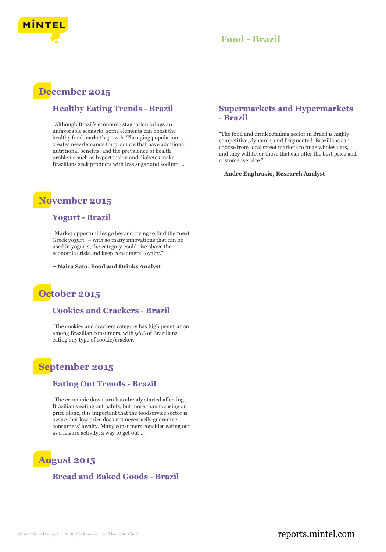

### **Food - Brazil**

## **December 2015**

### **Healthy Eating Trends - Brazil**

"Although Brazil's economic stagnation brings an unfavorable scenario, some elements can boost the healthy food market's growth. The aging population creates new demands for products that have additional nutritional benefits, and the prevalence of health problems such as hypertension and diabetes make Brazilians seek products with less sugar and sodium ...

## **November 2015**

### **Yogurt - Brazil**

"Market opportunities go beyond trying to find the "next Greek yogurt" – with so many innovations that can be used in yogurts, the category could rise above the economic crisis and keep consumers' loyalty."

**– Naira Sato, Food and Drinks Analyst**

## **October 2015**

#### **Cookies and Crackers - Brazil**

"The cookies and crackers category has high penetration among Brazilian consumers, with 96% of Brazilians eating any type of cookie/cracker.

## **September 2015**

### **Eating Out Trends - Brazil**

"The economic downturn has already started affecting Brazilian's eating out habits, but more than focusing on price alone, it is important that the foodservice sector is aware that low price does not necessarily guarantee consumers' loyalty. Many consumers consider eating out as a leisure activity, a way to get out ...

# **August 2015**

**Bread and Baked Goods - Brazil**

### **Supermarkets and Hypermarkets - Brazil**

"The food and drink retailing sector in Brazil is highly competitive, dynamic, and fragmented. Brazilians can choose from local street markets to huge wholesalers, and they will favor those that can offer the best price and customer service."

**– Andre Euphrasio, Research Analyst**